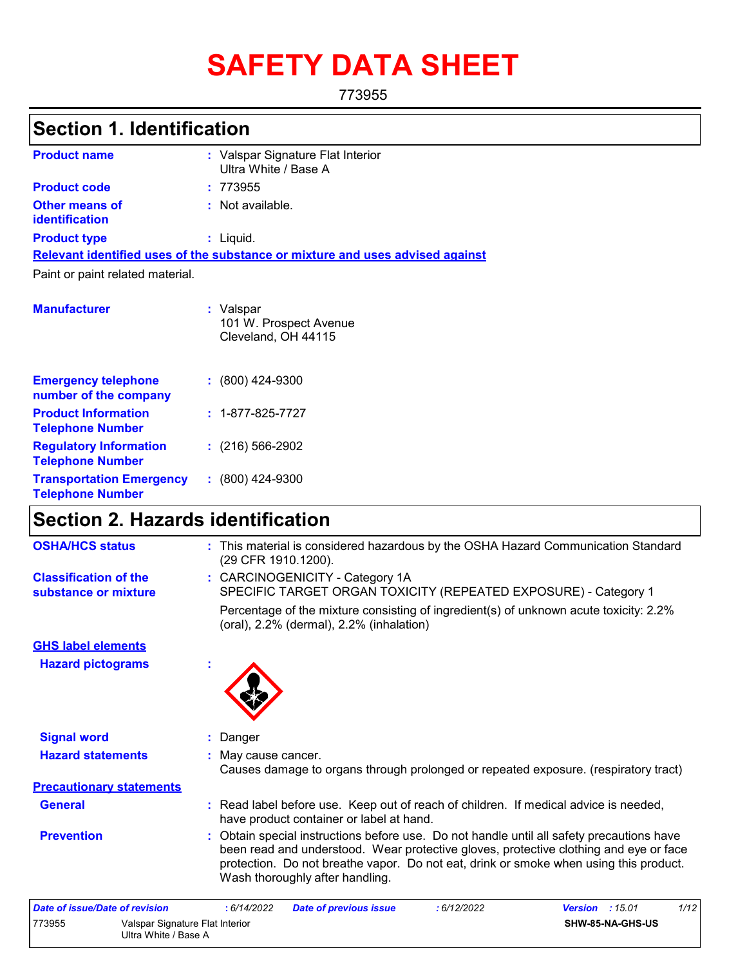# **SAFETY DATA SHEET**

773955

# **Section 1. Identification**

| <b>Product name</b>                     | : Valspar Signature Flat Interior<br>Ultra White / Base A                     |
|-----------------------------------------|-------------------------------------------------------------------------------|
| <b>Product code</b>                     | : 773955                                                                      |
| <b>Other means of</b><br>identification | : Not available.                                                              |
| <b>Product type</b>                     | : Liquid.                                                                     |
|                                         | Relevant identified uses of the substance or mixture and uses advised against |
| Paint or paint related material.        |                                                                               |
| <b>Manufacturer</b>                     | : Valspar<br>101 W. Prospect Avenue<br>Cleveland, OH 44115                    |

| <b>Emergency telephone</b><br>number of the company        | $: (800)$ 424-9300       |
|------------------------------------------------------------|--------------------------|
| <b>Product Information</b><br><b>Telephone Number</b>      | $: 1 - 877 - 825 - 7727$ |
| <b>Regulatory Information</b><br><b>Telephone Number</b>   | $: (216) 566 - 2902$     |
| <b>Transportation Emergency</b><br><b>Telephone Number</b> | $: (800)$ 424-9300       |

# **Section 2. Hazards identification**

| <b>OSHA/HCS status</b>                               | : This material is considered hazardous by the OSHA Hazard Communication Standard<br>(29 CFR 1910.1200).                                                                                                                                                                                                       |
|------------------------------------------------------|----------------------------------------------------------------------------------------------------------------------------------------------------------------------------------------------------------------------------------------------------------------------------------------------------------------|
| <b>Classification of the</b><br>substance or mixture | : CARCINOGENICITY - Category 1A<br>SPECIFIC TARGET ORGAN TOXICITY (REPEATED EXPOSURE) - Category 1                                                                                                                                                                                                             |
|                                                      | Percentage of the mixture consisting of ingredient(s) of unknown acute toxicity: 2.2%<br>(oral), 2.2% (dermal), 2.2% (inhalation)                                                                                                                                                                              |
| <b>GHS label elements</b>                            |                                                                                                                                                                                                                                                                                                                |
| <b>Hazard pictograms</b>                             |                                                                                                                                                                                                                                                                                                                |
| <b>Signal word</b>                                   | Danger                                                                                                                                                                                                                                                                                                         |
| <b>Hazard statements</b>                             | : May cause cancer.<br>Causes damage to organs through prolonged or repeated exposure. (respiratory tract)                                                                                                                                                                                                     |
| <b>Precautionary statements</b>                      |                                                                                                                                                                                                                                                                                                                |
| <b>General</b>                                       | : Read label before use. Keep out of reach of children. If medical advice is needed,<br>have product container or label at hand.                                                                                                                                                                               |
| <b>Prevention</b>                                    | : Obtain special instructions before use. Do not handle until all safety precautions have<br>been read and understood. Wear protective gloves, protective clothing and eye or face<br>protection. Do not breathe vapor. Do not eat, drink or smoke when using this product.<br>Wash thoroughly after handling. |
| Date of issue/Date of revision                       | 1/12<br>. 6/14/2022<br>.15.01<br>Date of previous issue<br>.6/12/2022<br>Version                                                                                                                                                                                                                               |

| Date of issue/Date of revision |                                                         | : 6/14/2022 | <b>Date of previous issue</b> | 6/12/2022 | <b>Version</b> : $15.01$ |                  | 1/12 |
|--------------------------------|---------------------------------------------------------|-------------|-------------------------------|-----------|--------------------------|------------------|------|
| 773955                         | Valspar Signature Flat Interior<br>Ultra White / Base A |             |                               |           |                          | SHW-85-NA-GHS-US |      |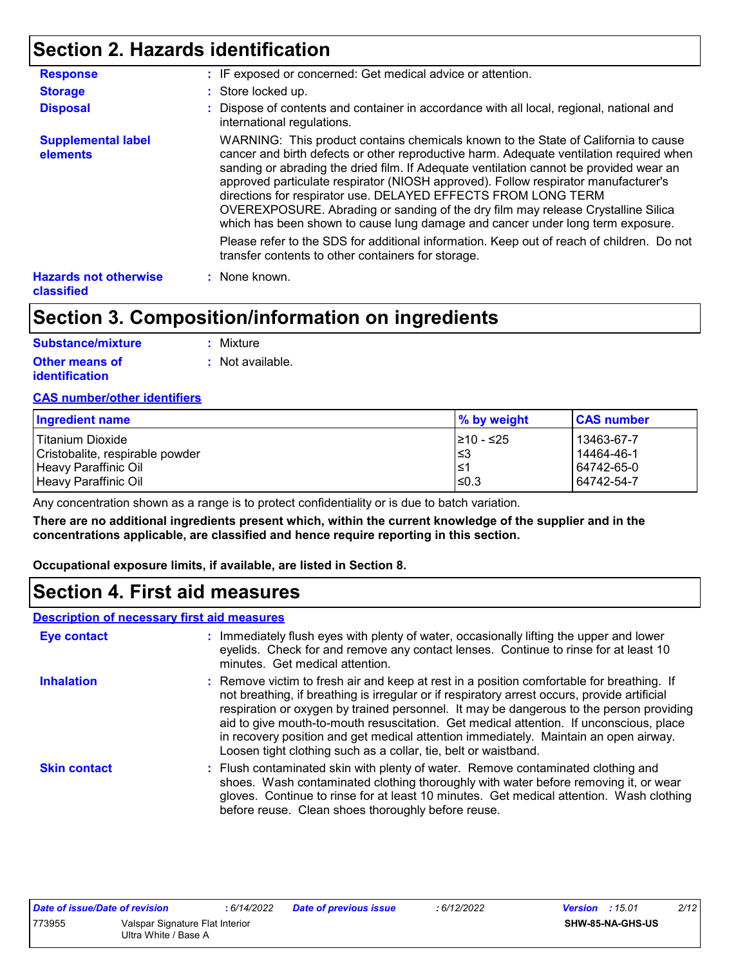# **Section 2. Hazards identification**

| <b>Response</b>                            | : IF exposed or concerned: Get medical advice or attention.                                                                                                                                                                                                                                                                                                                                                                                                                                                                                                                                          |
|--------------------------------------------|------------------------------------------------------------------------------------------------------------------------------------------------------------------------------------------------------------------------------------------------------------------------------------------------------------------------------------------------------------------------------------------------------------------------------------------------------------------------------------------------------------------------------------------------------------------------------------------------------|
| <b>Storage</b>                             | : Store locked up.                                                                                                                                                                                                                                                                                                                                                                                                                                                                                                                                                                                   |
| <b>Disposal</b>                            | : Dispose of contents and container in accordance with all local, regional, national and<br>international regulations.                                                                                                                                                                                                                                                                                                                                                                                                                                                                               |
| <b>Supplemental label</b><br>elements      | WARNING: This product contains chemicals known to the State of California to cause<br>cancer and birth defects or other reproductive harm. Adequate ventilation required when<br>sanding or abrading the dried film. If Adequate ventilation cannot be provided wear an<br>approved particulate respirator (NIOSH approved). Follow respirator manufacturer's<br>directions for respirator use. DELAYED EFFECTS FROM LONG TERM<br>OVEREXPOSURE. Abrading or sanding of the dry film may release Crystalline Silica<br>which has been shown to cause lung damage and cancer under long term exposure. |
|                                            | Please refer to the SDS for additional information. Keep out of reach of children. Do not<br>transfer contents to other containers for storage.                                                                                                                                                                                                                                                                                                                                                                                                                                                      |
| <b>Hazards not otherwise</b><br>classified | : None known.                                                                                                                                                                                                                                                                                                                                                                                                                                                                                                                                                                                        |

# **Section 3. Composition/information on ingredients**

| <b>Substance/mixture</b> | : Mixture                   |
|--------------------------|-----------------------------|
| <b>Other means of</b>    | $\therefore$ Not available. |
| identification           |                             |

#### **CAS number/other identifiers**

| Ingredient name                 | % by weight | <b>CAS number</b> |
|---------------------------------|-------------|-------------------|
| Titanium Dioxide                | l≥10 - ≤25  | $ 13463-67-7$     |
| Cristobalite, respirable powder | ∣≤3         | 14464-46-1        |
| Heavy Paraffinic Oil            | $\leq$      | 64742-65-0        |
| Heavy Paraffinic Oil            | l≤0.3       | 64742-54-7        |

Any concentration shown as a range is to protect confidentiality or is due to batch variation.

**There are no additional ingredients present which, within the current knowledge of the supplier and in the concentrations applicable, are classified and hence require reporting in this section.**

**Occupational exposure limits, if available, are listed in Section 8.**

### **Section 4. First aid measures**

#### **Description of necessary first aid measures**

| <b>Eye contact</b>  | : Immediately flush eyes with plenty of water, occasionally lifting the upper and lower<br>eyelids. Check for and remove any contact lenses. Continue to rinse for at least 10<br>minutes. Get medical attention.                                                                                                                                                                                                                                                                                                                         |
|---------------------|-------------------------------------------------------------------------------------------------------------------------------------------------------------------------------------------------------------------------------------------------------------------------------------------------------------------------------------------------------------------------------------------------------------------------------------------------------------------------------------------------------------------------------------------|
| <b>Inhalation</b>   | : Remove victim to fresh air and keep at rest in a position comfortable for breathing. If<br>not breathing, if breathing is irregular or if respiratory arrest occurs, provide artificial<br>respiration or oxygen by trained personnel. It may be dangerous to the person providing<br>aid to give mouth-to-mouth resuscitation. Get medical attention. If unconscious, place<br>in recovery position and get medical attention immediately. Maintain an open airway.<br>Loosen tight clothing such as a collar, tie, belt or waistband. |
| <b>Skin contact</b> | : Flush contaminated skin with plenty of water. Remove contaminated clothing and<br>shoes. Wash contaminated clothing thoroughly with water before removing it, or wear<br>gloves. Continue to rinse for at least 10 minutes. Get medical attention. Wash clothing<br>before reuse. Clean shoes thoroughly before reuse.                                                                                                                                                                                                                  |

| Date of issue/Date of revision |                                 | 6/14/2022 | <b>Date of previous issue</b> | 6/12/2022 | 2/12<br><b>Version</b> : 15.01 |
|--------------------------------|---------------------------------|-----------|-------------------------------|-----------|--------------------------------|
| 773955                         | Valspar Signature Flat Interior |           |                               |           | SHW-85-NA-GHS-US               |
| Ultra White / Base A           |                                 |           |                               |           |                                |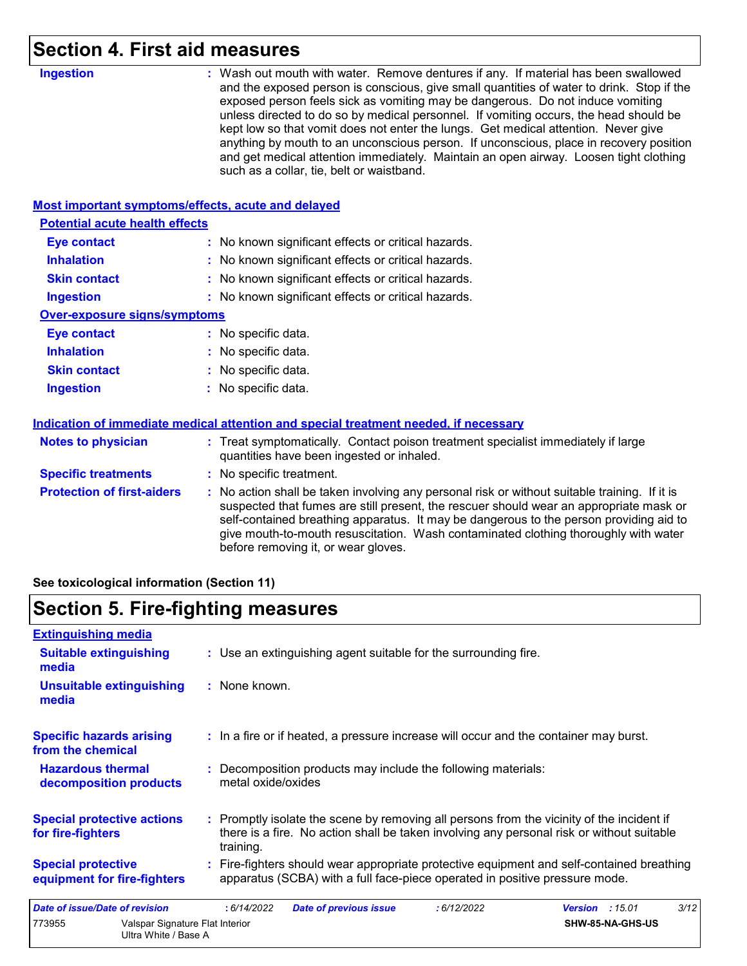# **Section 4. First aid measures**

| <b>Ingestion</b>                                   | : Wash out mouth with water. Remove dentures if any. If material has been swallowed<br>and the exposed person is conscious, give small quantities of water to drink. Stop if the<br>exposed person feels sick as vomiting may be dangerous. Do not induce vomiting<br>unless directed to do so by medical personnel. If vomiting occurs, the head should be<br>kept low so that vomit does not enter the lungs. Get medical attention. Never give<br>anything by mouth to an unconscious person. If unconscious, place in recovery position<br>and get medical attention immediately. Maintain an open airway. Loosen tight clothing<br>such as a collar, tie, belt or waistband. |
|----------------------------------------------------|-----------------------------------------------------------------------------------------------------------------------------------------------------------------------------------------------------------------------------------------------------------------------------------------------------------------------------------------------------------------------------------------------------------------------------------------------------------------------------------------------------------------------------------------------------------------------------------------------------------------------------------------------------------------------------------|
| Most important symptoms/effects, acute and delayed |                                                                                                                                                                                                                                                                                                                                                                                                                                                                                                                                                                                                                                                                                   |
| <b>Potential acute health effects</b>              |                                                                                                                                                                                                                                                                                                                                                                                                                                                                                                                                                                                                                                                                                   |
| <b>Eye contact</b>                                 | : No known significant effects or critical hazards.                                                                                                                                                                                                                                                                                                                                                                                                                                                                                                                                                                                                                               |
| <b>Inhalation</b>                                  | : No known significant effects or critical hazards.                                                                                                                                                                                                                                                                                                                                                                                                                                                                                                                                                                                                                               |
| <b>Skin contact</b>                                | : No known significant effects or critical hazards.                                                                                                                                                                                                                                                                                                                                                                                                                                                                                                                                                                                                                               |
| <b>Ingestion</b>                                   | : No known significant effects or critical hazards.                                                                                                                                                                                                                                                                                                                                                                                                                                                                                                                                                                                                                               |
| <b>Over-exposure signs/symptoms</b>                |                                                                                                                                                                                                                                                                                                                                                                                                                                                                                                                                                                                                                                                                                   |
| <b>Eye contact</b>                                 | : No specific data.                                                                                                                                                                                                                                                                                                                                                                                                                                                                                                                                                                                                                                                               |
| <b>Inhalation</b>                                  | : No specific data.                                                                                                                                                                                                                                                                                                                                                                                                                                                                                                                                                                                                                                                               |
| <b>Skin contact</b>                                | No specific data.                                                                                                                                                                                                                                                                                                                                                                                                                                                                                                                                                                                                                                                                 |
| <b>Ingestion</b>                                   | No specific data.                                                                                                                                                                                                                                                                                                                                                                                                                                                                                                                                                                                                                                                                 |
|                                                    | Indication of immediate medical attention and special treatment needed, if necessary                                                                                                                                                                                                                                                                                                                                                                                                                                                                                                                                                                                              |
| <b>Notes to physician</b>                          | : Treat symptomatically. Contact poison treatment specialist immediately if large<br>quantities have been ingested or inhaled.                                                                                                                                                                                                                                                                                                                                                                                                                                                                                                                                                    |
| <b>Specific treatments</b>                         | : No specific treatment.                                                                                                                                                                                                                                                                                                                                                                                                                                                                                                                                                                                                                                                          |
| <b>Protection of first-aiders</b>                  | : No action shall be taken involving any personal risk or without suitable training. If it is<br>suspected that fumes are still present, the rescuer should wear an appropriate mask or<br>self-contained breathing apparatus. It may be dangerous to the person providing aid to<br>give mouth-to-mouth resuscitation. Wash contaminated clothing thoroughly with water<br>before removing it, or wear gloves.                                                                                                                                                                                                                                                                   |

**See toxicological information (Section 11)**

# **Section 5. Fire-fighting measures**

| <b>Extinguishing media</b>                                        |                                                                                                                                                                                                     |
|-------------------------------------------------------------------|-----------------------------------------------------------------------------------------------------------------------------------------------------------------------------------------------------|
| <b>Suitable extinguishing</b><br>media                            | : Use an extinguishing agent suitable for the surrounding fire.                                                                                                                                     |
| <b>Unsuitable extinguishing</b><br>media                          | : None known.                                                                                                                                                                                       |
| <b>Specific hazards arising</b><br>from the chemical              | : In a fire or if heated, a pressure increase will occur and the container may burst.                                                                                                               |
| <b>Hazardous thermal</b><br>decomposition products                | : Decomposition products may include the following materials:<br>metal oxide/oxides                                                                                                                 |
| <b>Special protective actions</b><br>for fire-fighters            | : Promptly isolate the scene by removing all persons from the vicinity of the incident if<br>there is a fire. No action shall be taken involving any personal risk or without suitable<br>training. |
| <b>Special protective</b><br>equipment for fire-fighters          | : Fire-fighters should wear appropriate protective equipment and self-contained breathing<br>apparatus (SCBA) with a full face-piece operated in positive pressure mode.                            |
| <b>Date of issue/Date of revision</b>                             | : 6/14/2022<br><b>Date of previous issue</b><br><b>Version</b> : 15.01<br>3/12<br>:6/12/2022                                                                                                        |
| 773955<br>Valspar Signature Flat Interior<br>Ultra White / Base A | SHW-85-NA-GHS-US                                                                                                                                                                                    |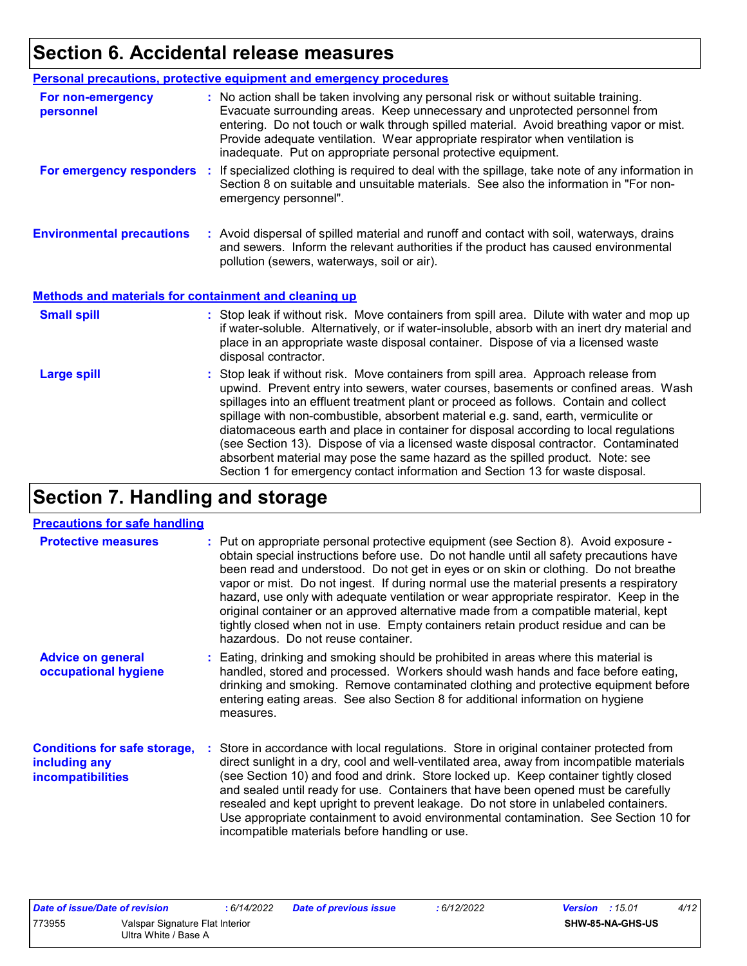# **Section 6. Accidental release measures**

|                                                       | <b>Personal precautions, protective equipment and emergency procedures</b>                                                                                                                                                                                                                                                                                                                                                                                                                                                                                                                                                                                                                                   |
|-------------------------------------------------------|--------------------------------------------------------------------------------------------------------------------------------------------------------------------------------------------------------------------------------------------------------------------------------------------------------------------------------------------------------------------------------------------------------------------------------------------------------------------------------------------------------------------------------------------------------------------------------------------------------------------------------------------------------------------------------------------------------------|
| For non-emergency<br>personnel                        | : No action shall be taken involving any personal risk or without suitable training.<br>Evacuate surrounding areas. Keep unnecessary and unprotected personnel from<br>entering. Do not touch or walk through spilled material. Avoid breathing vapor or mist.<br>Provide adequate ventilation. Wear appropriate respirator when ventilation is<br>inadequate. Put on appropriate personal protective equipment.                                                                                                                                                                                                                                                                                             |
| For emergency responders                              | : If specialized clothing is required to deal with the spillage, take note of any information in<br>Section 8 on suitable and unsuitable materials. See also the information in "For non-<br>emergency personnel".                                                                                                                                                                                                                                                                                                                                                                                                                                                                                           |
| <b>Environmental precautions</b>                      | : Avoid dispersal of spilled material and runoff and contact with soil, waterways, drains<br>and sewers. Inform the relevant authorities if the product has caused environmental<br>pollution (sewers, waterways, soil or air).                                                                                                                                                                                                                                                                                                                                                                                                                                                                              |
| Methods and materials for containment and cleaning up |                                                                                                                                                                                                                                                                                                                                                                                                                                                                                                                                                                                                                                                                                                              |
| <b>Small spill</b>                                    | : Stop leak if without risk. Move containers from spill area. Dilute with water and mop up<br>if water-soluble. Alternatively, or if water-insoluble, absorb with an inert dry material and<br>place in an appropriate waste disposal container. Dispose of via a licensed waste<br>disposal contractor.                                                                                                                                                                                                                                                                                                                                                                                                     |
| <b>Large spill</b>                                    | : Stop leak if without risk. Move containers from spill area. Approach release from<br>upwind. Prevent entry into sewers, water courses, basements or confined areas. Wash<br>spillages into an effluent treatment plant or proceed as follows. Contain and collect<br>spillage with non-combustible, absorbent material e.g. sand, earth, vermiculite or<br>diatomaceous earth and place in container for disposal according to local regulations<br>(see Section 13). Dispose of via a licensed waste disposal contractor. Contaminated<br>absorbent material may pose the same hazard as the spilled product. Note: see<br>Section 1 for emergency contact information and Section 13 for waste disposal. |

# **Section 7. Handling and storage**

#### **Precautions for safe handling**

| <b>Protective measures</b>                                                       | : Put on appropriate personal protective equipment (see Section 8). Avoid exposure -<br>obtain special instructions before use. Do not handle until all safety precautions have<br>been read and understood. Do not get in eyes or on skin or clothing. Do not breathe<br>vapor or mist. Do not ingest. If during normal use the material presents a respiratory<br>hazard, use only with adequate ventilation or wear appropriate respirator. Keep in the<br>original container or an approved alternative made from a compatible material, kept<br>tightly closed when not in use. Empty containers retain product residue and can be<br>hazardous. Do not reuse container. |
|----------------------------------------------------------------------------------|-------------------------------------------------------------------------------------------------------------------------------------------------------------------------------------------------------------------------------------------------------------------------------------------------------------------------------------------------------------------------------------------------------------------------------------------------------------------------------------------------------------------------------------------------------------------------------------------------------------------------------------------------------------------------------|
| <b>Advice on general</b><br>occupational hygiene                                 | : Eating, drinking and smoking should be prohibited in areas where this material is<br>handled, stored and processed. Workers should wash hands and face before eating,<br>drinking and smoking. Remove contaminated clothing and protective equipment before<br>entering eating areas. See also Section 8 for additional information on hygiene<br>measures.                                                                                                                                                                                                                                                                                                                 |
| <b>Conditions for safe storage,</b><br>including any<br><i>incompatibilities</i> | : Store in accordance with local regulations. Store in original container protected from<br>direct sunlight in a dry, cool and well-ventilated area, away from incompatible materials<br>(see Section 10) and food and drink. Store locked up. Keep container tightly closed<br>and sealed until ready for use. Containers that have been opened must be carefully<br>resealed and kept upright to prevent leakage. Do not store in unlabeled containers.<br>Use appropriate containment to avoid environmental contamination. See Section 10 for<br>incompatible materials before handling or use.                                                                           |

| Date of issue/Date of revision |                                                         | : 6/14/2022 | <b>Date of previous issue</b> | : 6/12/2022 | 4/12<br><b>Version</b> : $15.01$ |
|--------------------------------|---------------------------------------------------------|-------------|-------------------------------|-------------|----------------------------------|
| 773955                         | Valspar Signature Flat Interior<br>Ultra White / Base A |             |                               |             | <b>SHW-85-NA-GHS-US</b>          |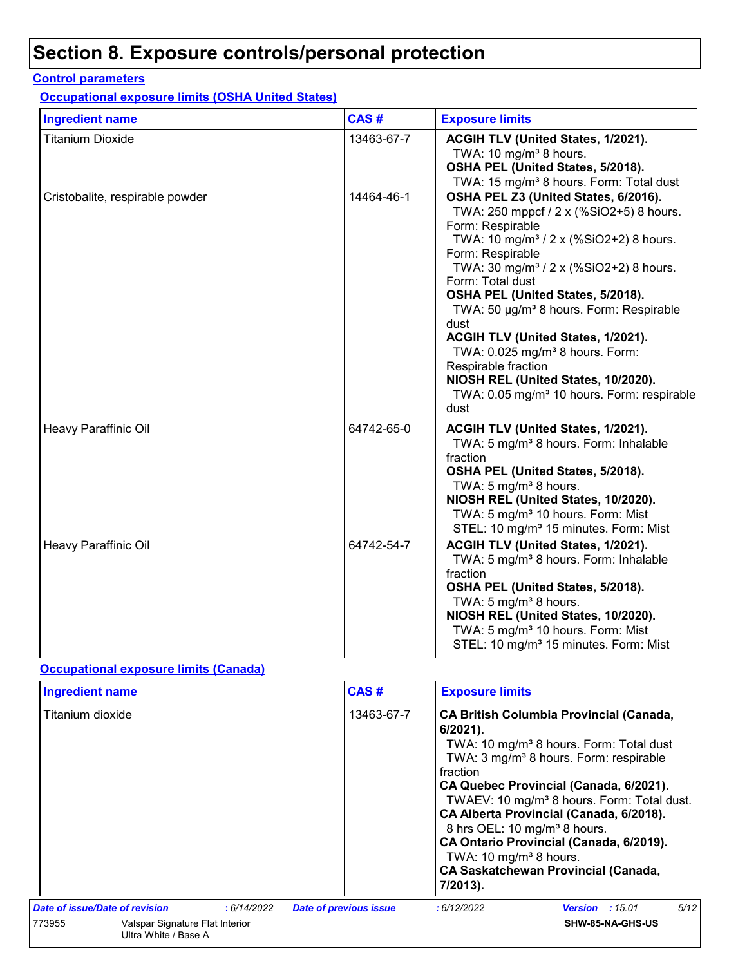# **Section 8. Exposure controls/personal protection**

#### **Control parameters**

**Occupational exposure limits (OSHA United States)**

| <b>Ingredient name</b>          | CAS#       | <b>Exposure limits</b>                                                                                                                                                                                                                                                                                                                                                                                                                                                                                                                                                           |
|---------------------------------|------------|----------------------------------------------------------------------------------------------------------------------------------------------------------------------------------------------------------------------------------------------------------------------------------------------------------------------------------------------------------------------------------------------------------------------------------------------------------------------------------------------------------------------------------------------------------------------------------|
| Titanium Dioxide                | 13463-67-7 | ACGIH TLV (United States, 1/2021).<br>TWA: 10 $mg/m3$ 8 hours.<br>OSHA PEL (United States, 5/2018).<br>TWA: 15 mg/m <sup>3</sup> 8 hours. Form: Total dust                                                                                                                                                                                                                                                                                                                                                                                                                       |
| Cristobalite, respirable powder | 14464-46-1 | OSHA PEL Z3 (United States, 6/2016).<br>TWA: 250 mppcf / 2 x (%SiO2+5) 8 hours.<br>Form: Respirable<br>TWA: 10 mg/m <sup>3</sup> / 2 x (%SiO2+2) 8 hours.<br>Form: Respirable<br>TWA: 30 mg/m <sup>3</sup> / 2 x (%SiO2+2) 8 hours.<br>Form: Total dust<br>OSHA PEL (United States, 5/2018).<br>TWA: 50 µg/m <sup>3</sup> 8 hours. Form: Respirable<br>dust<br>ACGIH TLV (United States, 1/2021).<br>TWA: 0.025 mg/m <sup>3</sup> 8 hours. Form:<br>Respirable fraction<br>NIOSH REL (United States, 10/2020).<br>TWA: 0.05 mg/m <sup>3</sup> 10 hours. Form: respirable<br>dust |
| Heavy Paraffinic Oil            | 64742-65-0 | ACGIH TLV (United States, 1/2021).<br>TWA: 5 mg/m <sup>3</sup> 8 hours. Form: Inhalable<br>fraction<br>OSHA PEL (United States, 5/2018).<br>TWA: 5 mg/m <sup>3</sup> 8 hours.<br>NIOSH REL (United States, 10/2020).<br>TWA: 5 mg/m <sup>3</sup> 10 hours. Form: Mist<br>STEL: 10 mg/m <sup>3</sup> 15 minutes. Form: Mist                                                                                                                                                                                                                                                       |
| Heavy Paraffinic Oil            | 64742-54-7 | ACGIH TLV (United States, 1/2021).<br>TWA: 5 mg/m <sup>3</sup> 8 hours. Form: Inhalable<br>fraction<br>OSHA PEL (United States, 5/2018).<br>TWA: $5 \text{ mg/m}^3$ 8 hours.<br>NIOSH REL (United States, 10/2020).<br>TWA: 5 mg/m <sup>3</sup> 10 hours. Form: Mist<br>STEL: 10 mg/m <sup>3</sup> 15 minutes. Form: Mist                                                                                                                                                                                                                                                        |

#### **Occupational exposure limits (Canada)**

|                                                                   |                                |            | CAS#                                                                                                               | <b>Exposure limits</b>                                                                                                                                                                                                                                                                                                                                                                              |                        |      |
|-------------------------------------------------------------------|--------------------------------|------------|--------------------------------------------------------------------------------------------------------------------|-----------------------------------------------------------------------------------------------------------------------------------------------------------------------------------------------------------------------------------------------------------------------------------------------------------------------------------------------------------------------------------------------------|------------------------|------|
| <b>Ingredient name</b><br>Titanium dioxide                        |                                | 13463-67-7 | 6/2021).<br>fraction<br>8 hrs OEL: 10 mg/m <sup>3</sup> 8 hours.<br>TWA: 10 mg/m <sup>3</sup> 8 hours.<br>7/2013). | <b>CA British Columbia Provincial (Canada,</b><br>TWA: 10 mg/m <sup>3</sup> 8 hours. Form: Total dust<br>TWA: 3 mg/m <sup>3</sup> 8 hours. Form: respirable<br>CA Quebec Provincial (Canada, 6/2021).<br>TWAEV: 10 mg/m <sup>3</sup> 8 hours. Form: Total dust.<br>CA Alberta Provincial (Canada, 6/2018).<br>CA Ontario Provincial (Canada, 6/2019).<br><b>CA Saskatchewan Provincial (Canada,</b> |                        |      |
|                                                                   | Date of issue/Date of revision | :6/14/2022 | <b>Date of previous issue</b>                                                                                      | :6/12/2022                                                                                                                                                                                                                                                                                                                                                                                          | <b>Version</b> : 15.01 | 5/12 |
| 773955<br>Valspar Signature Flat Interior<br>Ultra White / Base A |                                |            |                                                                                                                    | SHW-85-NA-GHS-US                                                                                                                                                                                                                                                                                                                                                                                    |                        |      |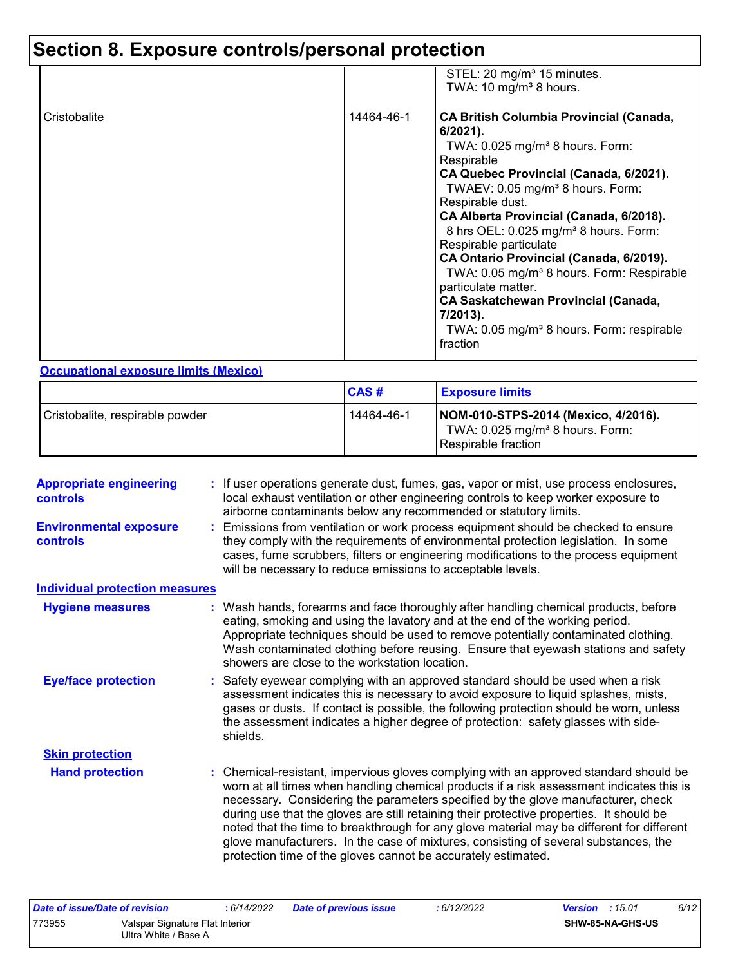# **Section 8. Exposure controls/personal protection**

|              |            | STEL: 20 mg/m <sup>3</sup> 15 minutes.<br>TWA: 10 mg/m <sup>3</sup> 8 hours.                                                                                                                                                                                                                                                                                                                                                                                                                                                                                                                                                   |
|--------------|------------|--------------------------------------------------------------------------------------------------------------------------------------------------------------------------------------------------------------------------------------------------------------------------------------------------------------------------------------------------------------------------------------------------------------------------------------------------------------------------------------------------------------------------------------------------------------------------------------------------------------------------------|
| Cristobalite | 14464-46-1 | <b>CA British Columbia Provincial (Canada,</b><br>$6/2021$ ).<br>TWA: $0.025$ mg/m <sup>3</sup> 8 hours. Form:<br>Respirable<br>CA Quebec Provincial (Canada, 6/2021).<br>TWAEV: 0.05 mg/m <sup>3</sup> 8 hours. Form:<br>Respirable dust.<br>CA Alberta Provincial (Canada, 6/2018).<br>8 hrs OEL: 0.025 mg/m <sup>3</sup> 8 hours. Form:<br>Respirable particulate<br>CA Ontario Provincial (Canada, 6/2019).<br>TWA: 0.05 mg/m <sup>3</sup> 8 hours. Form: Respirable<br>particulate matter.<br><b>CA Saskatchewan Provincial (Canada,</b><br>7/2013).<br>TWA: 0.05 mg/m <sup>3</sup> 8 hours. Form: respirable<br>fraction |

#### **Occupational exposure limits (Mexico)**

|                                 | CAS#       | <b>Exposure limits</b>                                                                                      |
|---------------------------------|------------|-------------------------------------------------------------------------------------------------------------|
| Cristobalite, respirable powder | 14464-46-1 | NOM-010-STPS-2014 (Mexico, 4/2016).<br>TWA: $0.025$ mg/m <sup>3</sup> 8 hours. Form:<br>Respirable fraction |

|                                       | : If user operations generate dust, fumes, gas, vapor or mist, use process enclosures,<br>local exhaust ventilation or other engineering controls to keep worker exposure to<br>airborne contaminants below any recommended or statutory limits.                                                                                                                                                                                                                                                                                                                                                                       |
|---------------------------------------|------------------------------------------------------------------------------------------------------------------------------------------------------------------------------------------------------------------------------------------------------------------------------------------------------------------------------------------------------------------------------------------------------------------------------------------------------------------------------------------------------------------------------------------------------------------------------------------------------------------------|
|                                       | Emissions from ventilation or work process equipment should be checked to ensure<br>they comply with the requirements of environmental protection legislation. In some<br>cases, fume scrubbers, filters or engineering modifications to the process equipment<br>will be necessary to reduce emissions to acceptable levels.                                                                                                                                                                                                                                                                                          |
| <b>Individual protection measures</b> |                                                                                                                                                                                                                                                                                                                                                                                                                                                                                                                                                                                                                        |
|                                       | Wash hands, forearms and face thoroughly after handling chemical products, before<br>eating, smoking and using the lavatory and at the end of the working period.<br>Appropriate techniques should be used to remove potentially contaminated clothing.<br>Wash contaminated clothing before reusing. Ensure that eyewash stations and safety<br>showers are close to the workstation location.                                                                                                                                                                                                                        |
|                                       | Safety eyewear complying with an approved standard should be used when a risk<br>assessment indicates this is necessary to avoid exposure to liquid splashes, mists,<br>gases or dusts. If contact is possible, the following protection should be worn, unless<br>the assessment indicates a higher degree of protection: safety glasses with side-<br>shields.                                                                                                                                                                                                                                                       |
|                                       |                                                                                                                                                                                                                                                                                                                                                                                                                                                                                                                                                                                                                        |
|                                       | : Chemical-resistant, impervious gloves complying with an approved standard should be<br>worn at all times when handling chemical products if a risk assessment indicates this is<br>necessary. Considering the parameters specified by the glove manufacturer, check<br>during use that the gloves are still retaining their protective properties. It should be<br>noted that the time to breakthrough for any glove material may be different for different<br>glove manufacturers. In the case of mixtures, consisting of several substances, the<br>protection time of the gloves cannot be accurately estimated. |
|                                       |                                                                                                                                                                                                                                                                                                                                                                                                                                                                                                                                                                                                                        |

| Date of issue/Date of revision |                                                         | 6/14/2022 | Date of previous issue | : 6/12/2022 | <b>Version</b> : $15.01$ |                         | 6/12 |
|--------------------------------|---------------------------------------------------------|-----------|------------------------|-------------|--------------------------|-------------------------|------|
| 773955                         | Valspar Signature Flat Interior<br>Ultra White / Base A |           |                        |             |                          | <b>SHW-85-NA-GHS-US</b> |      |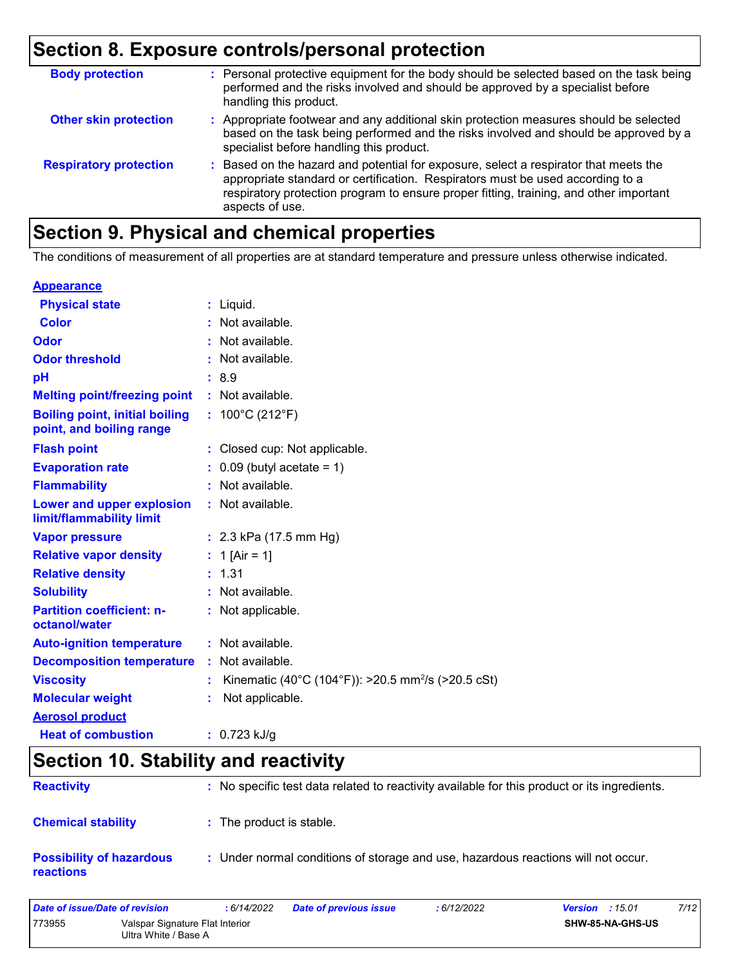# **Section 8. Exposure controls/personal protection**

| <b>Body protection</b>        | : Personal protective equipment for the body should be selected based on the task being<br>performed and the risks involved and should be approved by a specialist before<br>handling this product.                                                                                 |
|-------------------------------|-------------------------------------------------------------------------------------------------------------------------------------------------------------------------------------------------------------------------------------------------------------------------------------|
| <b>Other skin protection</b>  | : Appropriate footwear and any additional skin protection measures should be selected<br>based on the task being performed and the risks involved and should be approved by a<br>specialist before handling this product.                                                           |
| <b>Respiratory protection</b> | : Based on the hazard and potential for exposure, select a respirator that meets the<br>appropriate standard or certification. Respirators must be used according to a<br>respiratory protection program to ensure proper fitting, training, and other important<br>aspects of use. |

# **Section 9. Physical and chemical properties**

The conditions of measurement of all properties are at standard temperature and pressure unless otherwise indicated.

#### **Appearance**

| <b>Physical state</b>                                             | $:$ Liquid.                                                    |
|-------------------------------------------------------------------|----------------------------------------------------------------|
| Color                                                             | : Not available.                                               |
| Odor                                                              | : Not available.                                               |
| <b>Odor threshold</b>                                             | : Not available.                                               |
| pH                                                                | : 8.9                                                          |
| <b>Melting point/freezing point</b>                               | : Not available.                                               |
| <b>Boiling point, initial boiling</b><br>point, and boiling range | : $100^{\circ}$ C (212 $^{\circ}$ F)                           |
| <b>Flash point</b>                                                | : Closed cup: Not applicable.                                  |
| <b>Evaporation rate</b>                                           | $\therefore$ 0.09 (butyl acetate = 1)                          |
| <b>Flammability</b>                                               | : Not available.                                               |
| Lower and upper explosion<br>limit/flammability limit             | : Not available.                                               |
| <b>Vapor pressure</b>                                             | : $2.3$ kPa (17.5 mm Hg)                                       |
| <b>Relative vapor density</b>                                     | : 1 [Air = 1]                                                  |
| <b>Relative density</b>                                           | : 1.31                                                         |
| <b>Solubility</b>                                                 | : Not available.                                               |
| <b>Partition coefficient: n-</b><br>octanol/water                 | : Not applicable.                                              |
| <b>Auto-ignition temperature</b>                                  | : Not available.                                               |
| <b>Decomposition temperature</b>                                  | : Not available.                                               |
| <b>Viscosity</b>                                                  | Kinematic (40°C (104°F)): >20.5 mm <sup>2</sup> /s (>20.5 cSt) |
| <b>Molecular weight</b>                                           | Not applicable.                                                |
| <b>Aerosol product</b>                                            |                                                                |
| <b>Heat of combustion</b>                                         | $: 0.723$ kJ/g                                                 |

### **Section 10. Stability and reactivity**

| <b>Reactivity</b>                            | : No specific test data related to reactivity available for this product or its ingredients. |
|----------------------------------------------|----------------------------------------------------------------------------------------------|
| <b>Chemical stability</b>                    | : The product is stable.                                                                     |
| <b>Possibility of hazardous</b><br>reactions | : Under normal conditions of storage and use, hazardous reactions will not occur.            |

| Date of issue/Date of revision |                                                         | : 6/14/2022 | <b>Date of previous issue</b> | : 6/12/2022 | 7/12<br><b>Version</b> : $15.01$ |
|--------------------------------|---------------------------------------------------------|-------------|-------------------------------|-------------|----------------------------------|
| 773955                         | Valspar Signature Flat Interior<br>Ultra White / Base A |             |                               |             | <b>SHW-85-NA-GHS-US</b>          |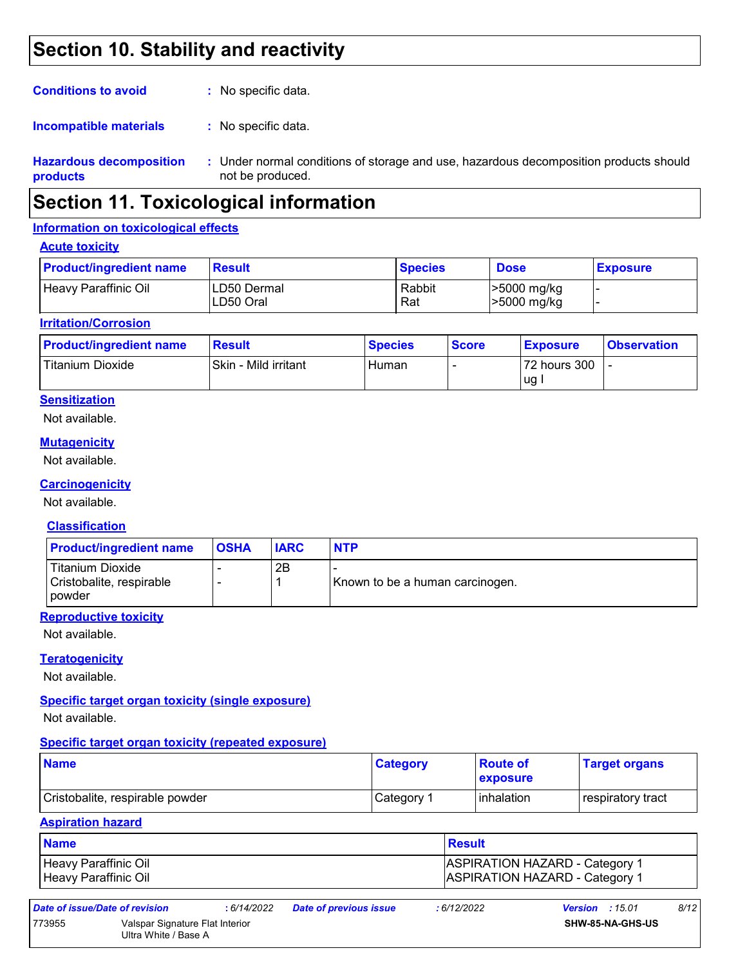## **Section 10. Stability and reactivity**

| <b>Hazardous decomposition</b><br>products | : Under normal conditions of storage and use, hazardous decomposition products should<br>not be produced. |
|--------------------------------------------|-----------------------------------------------------------------------------------------------------------|
| Incompatible materials                     | : No specific data.                                                                                       |
| <b>Conditions to avoid</b>                 | : No specific data.                                                                                       |

### **Section 11. Toxicological information**

#### **Information on toxicological effects**

#### **Acute toxicity**

| <b>Product/ingredient name</b> | Result                    | <b>Species</b> | <b>Dose</b>                | <b>Exposure</b> |
|--------------------------------|---------------------------|----------------|----------------------------|-----------------|
| Heavy Paraffinic Oil           | ILD50 Dermal<br>LD50 Oral | Rabbit<br>Rat  | >5000 mg/kg<br>>5000 mg/kg |                 |

#### **Irritation/Corrosion**

| <b>Product/ingredient name</b> | <b>Result</b>        | <b>Species</b> | <b>Score</b> | <u>I Exposure</u> | <b>Observation</b> |
|--------------------------------|----------------------|----------------|--------------|-------------------|--------------------|
| Titanium Dioxide               | Skin - Mild irritant | Human          |              | 72 hours 300      |                    |
|                                |                      |                |              | ug                |                    |

#### **Sensitization**

Not available.

#### **Mutagenicity**

Not available.

#### **Carcinogenicity**

Not available.

#### **Classification**

| <b>Product/ingredient name</b>                                  | <b>OSHA</b> | <b>IARC</b> | <b>NTP</b>                      |
|-----------------------------------------------------------------|-------------|-------------|---------------------------------|
| <b>Titanium Dioxide</b><br>Cristobalite, respirable<br>l powder |             | 2Β          | Known to be a human carcinogen. |

#### **Reproductive toxicity**

Not available.

#### **Teratogenicity**

Not available.

#### **Specific target organ toxicity (single exposure)**

Not available.

#### **Specific target organ toxicity (repeated exposure)**

| <b>Name</b>                     | <b>Category</b> | ∣Route of<br><b>Lexposure</b> | <b>Target organs</b> |
|---------------------------------|-----------------|-------------------------------|----------------------|
| Cristobalite, respirable powder | Category 1      | <b>linhalation</b>            | respiratory tract    |

#### **Aspiration hazard**

| <b>Name</b>                                  | Result                                                                         |
|----------------------------------------------|--------------------------------------------------------------------------------|
| Heavy Paraffinic Oil<br>Heavy Paraffinic Oil | <b>ASPIRATION HAZARD - Category 1</b><br><b>ASPIRATION HAZARD - Category 1</b> |
|                                              |                                                                                |

| Date of issue/Date of revision |                                                         | : 6/14/2022 | <b>Date of previous issue</b> | : 6/12/2022             | <b>Version</b> : $15.01$ | 8/12 |
|--------------------------------|---------------------------------------------------------|-------------|-------------------------------|-------------------------|--------------------------|------|
| 773955                         | Valspar Signature Flat Interior<br>Ultra White / Base A |             |                               | <b>SHW-85-NA-GHS-US</b> |                          |      |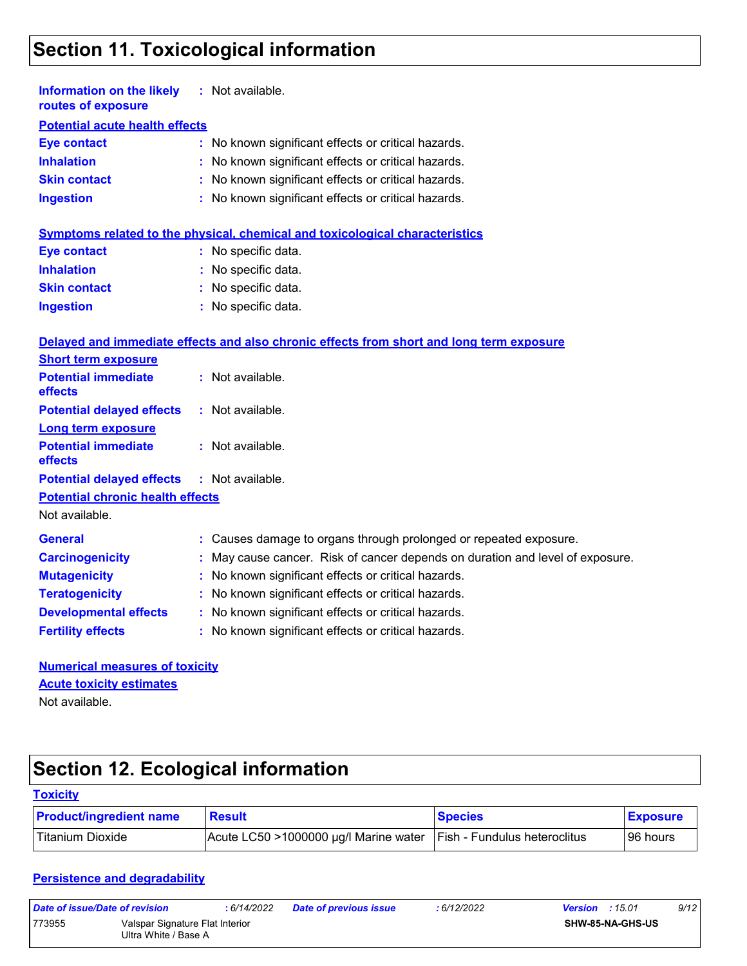# **Section 11. Toxicological information**

| <b>Information on the likely</b> : Not available.<br>routes of exposure |                                                     |
|-------------------------------------------------------------------------|-----------------------------------------------------|
| <b>Potential acute health effects</b>                                   |                                                     |
| <b>Eye contact</b>                                                      | : No known significant effects or critical hazards. |
| <b>Inhalation</b>                                                       | : No known significant effects or critical hazards. |
| <b>Skin contact</b>                                                     | : No known significant effects or critical hazards. |
| <b>Ingestion</b>                                                        | : No known significant effects or critical hazards. |

|                     | Symptoms related to the physical, chemical and toxicological characteristics |
|---------------------|------------------------------------------------------------------------------|
| Eye contact         | : No specific data.                                                          |
| <b>Inhalation</b>   | : No specific data.                                                          |
| <b>Skin contact</b> | : No specific data.                                                          |
| <b>Ingestion</b>    | : No specific data.                                                          |

#### **Delayed and immediate effects and also chronic effects from short and long term exposure**

| <b>Short term exposure</b>                 |                                                                               |
|--------------------------------------------|-------------------------------------------------------------------------------|
| <b>Potential immediate</b><br>effects      | : Not available.                                                              |
| <b>Potential delayed effects</b>           | : Not available.                                                              |
| <b>Long term exposure</b>                  |                                                                               |
| <b>Potential immediate</b><br>effects      | $:$ Not available.                                                            |
| Potential delayed effects : Not available. |                                                                               |
| <b>Potential chronic health effects</b>    |                                                                               |
| Not available.                             |                                                                               |
| <b>General</b>                             | : Causes damage to organs through prolonged or repeated exposure.             |
| <b>Carcinogenicity</b>                     | : May cause cancer. Risk of cancer depends on duration and level of exposure. |
| <b>Mutagenicity</b>                        | : No known significant effects or critical hazards.                           |
| <b>Teratogenicity</b>                      | : No known significant effects or critical hazards.                           |
| <b>Developmental effects</b>               | : No known significant effects or critical hazards.                           |
| <b>Fertility effects</b>                   | : No known significant effects or critical hazards.                           |

| <b>Numerical measures of toxicity</b> |  |
|---------------------------------------|--|
| <b>Acute toxicity estimates</b>       |  |
| Not available.                        |  |

# **Section 12. Ecological information**

#### **Toxicity**

| <b>Product/ingredient name</b> | <b>Result</b>                         | <b>Species</b>               | <b>Exposure</b> |
|--------------------------------|---------------------------------------|------------------------------|-----------------|
| Titanium Dioxide               | Acute LC50 >1000000 µg/l Marine water | Fish - Fundulus heteroclitus | 96 hours        |

#### **Persistence and degradability**

| Date of issue/Date of revision |                                                         | 6/14/2022 | <b>Date of previous issue</b> | : 6/12/2022 | <b>Version</b> : 15.01 |                         | 9/12 |
|--------------------------------|---------------------------------------------------------|-----------|-------------------------------|-------------|------------------------|-------------------------|------|
| 773955                         | Valspar Signature Flat Interior<br>Ultra White / Base A |           |                               |             |                        | <b>SHW-85-NA-GHS-US</b> |      |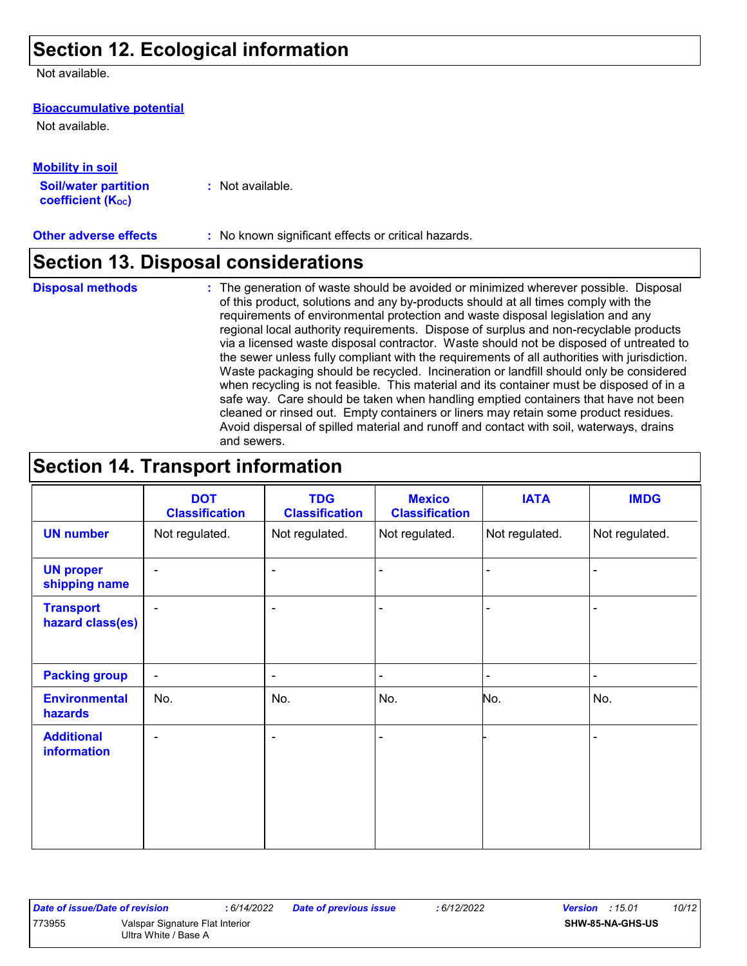# **Section 12. Ecological information**

Not available.

#### **Bioaccumulative potential**

Not available.

| <b>Mobility in soil</b>     |                  |
|-----------------------------|------------------|
| <b>Soil/water partition</b> | : Not available. |
| <b>coefficient (Koc)</b>    |                  |

**Other adverse effects :** No known significant effects or critical hazards.

### **Section 13. Disposal considerations**

- **Disposal methods :**
- The generation of waste should be avoided or minimized wherever possible. Disposal of this product, solutions and any by-products should at all times comply with the requirements of environmental protection and waste disposal legislation and any regional local authority requirements. Dispose of surplus and non-recyclable products via a licensed waste disposal contractor. Waste should not be disposed of untreated to the sewer unless fully compliant with the requirements of all authorities with jurisdiction. Waste packaging should be recycled. Incineration or landfill should only be considered when recycling is not feasible. This material and its container must be disposed of in a safe way. Care should be taken when handling emptied containers that have not been cleaned or rinsed out. Empty containers or liners may retain some product residues. Avoid dispersal of spilled material and runoff and contact with soil, waterways, drains and sewers.

# **Section 14. Transport information**

|                                         | <b>DOT</b><br><b>Classification</b> | <b>TDG</b><br><b>Classification</b> | <b>Mexico</b><br><b>Classification</b> | <b>IATA</b>    | <b>IMDG</b>    |
|-----------------------------------------|-------------------------------------|-------------------------------------|----------------------------------------|----------------|----------------|
| <b>UN number</b>                        | Not regulated.                      | Not regulated.                      | Not regulated.                         | Not regulated. | Not regulated. |
| <b>UN proper</b><br>shipping name       | $\blacksquare$                      | $\overline{\phantom{a}}$            |                                        |                | ۰              |
| <b>Transport</b><br>hazard class(es)    |                                     | $\blacksquare$                      |                                        |                |                |
| <b>Packing group</b>                    | $\blacksquare$                      | $\blacksquare$                      | $\overline{\phantom{0}}$               |                | $\blacksquare$ |
| <b>Environmental</b><br>hazards         | No.                                 | No.                                 | No.                                    | No.            | No.            |
| <b>Additional</b><br><b>information</b> | $\blacksquare$                      | $\overline{\phantom{a}}$            |                                        |                |                |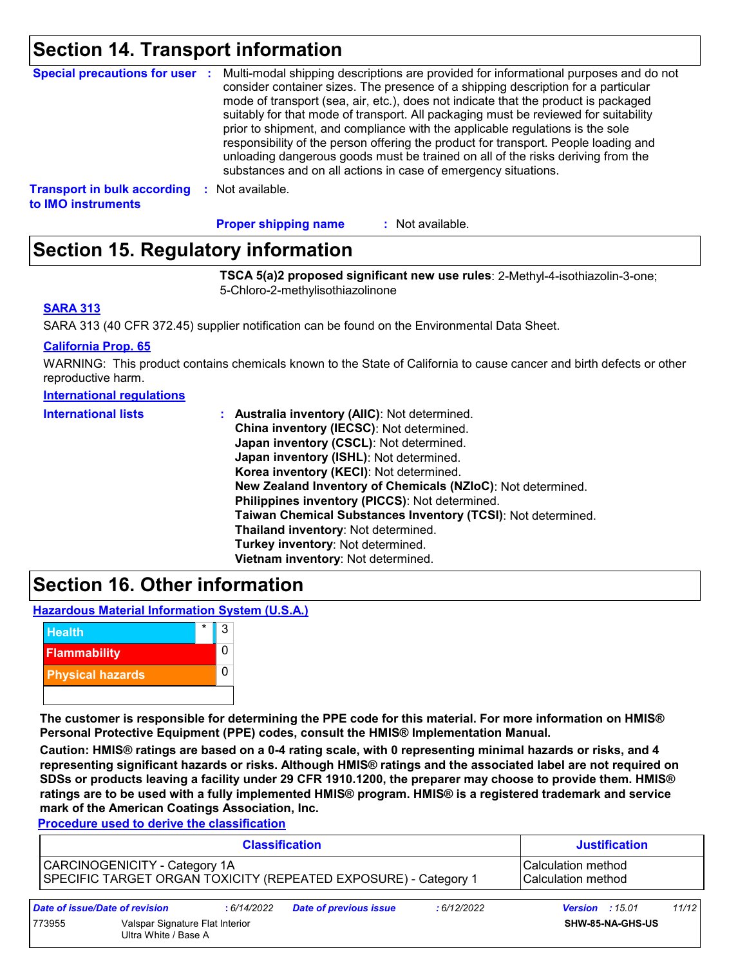### **Section 14. Transport information**

| Special precautions for user :                           |      | Multi-modal shipping descriptions are provided for informational purposes and do not<br>consider container sizes. The presence of a shipping description for a particular<br>mode of transport (sea, air, etc.), does not indicate that the product is packaged<br>suitably for that mode of transport. All packaging must be reviewed for suitability<br>prior to shipment, and compliance with the applicable regulations is the sole<br>responsibility of the person offering the product for transport. People loading and<br>unloading dangerous goods must be trained on all of the risks deriving from the<br>substances and on all actions in case of emergency situations. |
|----------------------------------------------------------|------|-------------------------------------------------------------------------------------------------------------------------------------------------------------------------------------------------------------------------------------------------------------------------------------------------------------------------------------------------------------------------------------------------------------------------------------------------------------------------------------------------------------------------------------------------------------------------------------------------------------------------------------------------------------------------------------|
| <b>Transport in bulk according</b><br>to IMO instruments | - 50 | Not available.                                                                                                                                                                                                                                                                                                                                                                                                                                                                                                                                                                                                                                                                      |

: Not available. **Proper shipping name :**

### **Section 15. Regulatory information**

**TSCA 5(a)2 proposed significant new use rules**: 2-Methyl-4-isothiazolin-3-one; 5-Chloro-2-methylisothiazolinone

#### **SARA 313**

SARA 313 (40 CFR 372.45) supplier notification can be found on the Environmental Data Sheet.

#### **California Prop. 65**

WARNING: This product contains chemicals known to the State of California to cause cancer and birth defects or other reproductive harm.

#### **International regulations**

| <b>International lists</b> | : Australia inventory (AIIC): Not determined.                |
|----------------------------|--------------------------------------------------------------|
|                            | China inventory (IECSC): Not determined.                     |
|                            | Japan inventory (CSCL): Not determined.                      |
|                            | Japan inventory (ISHL): Not determined.                      |
|                            | Korea inventory (KECI): Not determined.                      |
|                            | New Zealand Inventory of Chemicals (NZIoC): Not determined.  |
|                            | Philippines inventory (PICCS): Not determined.               |
|                            | Taiwan Chemical Substances Inventory (TCSI): Not determined. |
|                            | Thailand inventory: Not determined.                          |
|                            | Turkey inventory: Not determined.                            |
|                            | Vietnam inventory: Not determined.                           |

### **Section 16. Other information**

**Hazardous Material Information System (U.S.A.)**



**The customer is responsible for determining the PPE code for this material. For more information on HMIS® Personal Protective Equipment (PPE) codes, consult the HMIS® Implementation Manual.**

**Caution: HMIS® ratings are based on a 0-4 rating scale, with 0 representing minimal hazards or risks, and 4 representing significant hazards or risks. Although HMIS® ratings and the associated label are not required on SDSs or products leaving a facility under 29 CFR 1910.1200, the preparer may choose to provide them. HMIS® ratings are to be used with a fully implemented HMIS® program. HMIS® is a registered trademark and service mark of the American Coatings Association, Inc.**

**Procedure used to derive the classification**

|                                                                                                  | <b>Classification</b>          |            |                               |                                             | <b>Justification</b>   |       |  |
|--------------------------------------------------------------------------------------------------|--------------------------------|------------|-------------------------------|---------------------------------------------|------------------------|-------|--|
| CARCINOGENICITY - Category 1A<br>SPECIFIC TARGET ORGAN TOXICITY (REPEATED EXPOSURE) - Category 1 |                                |            |                               | lCalculation method<br>l Calculation method |                        |       |  |
|                                                                                                  | Date of issue/Date of revision | :6/14/2022 | <b>Date of previous issue</b> | : 6/12/2022                                 | <b>Version</b> : 15.01 | 11/12 |  |
| Valspar Signature Flat Interior<br>773955<br>Ultra White / Base A                                |                                |            |                               | SHW-85-NA-GHS-US                            |                        |       |  |